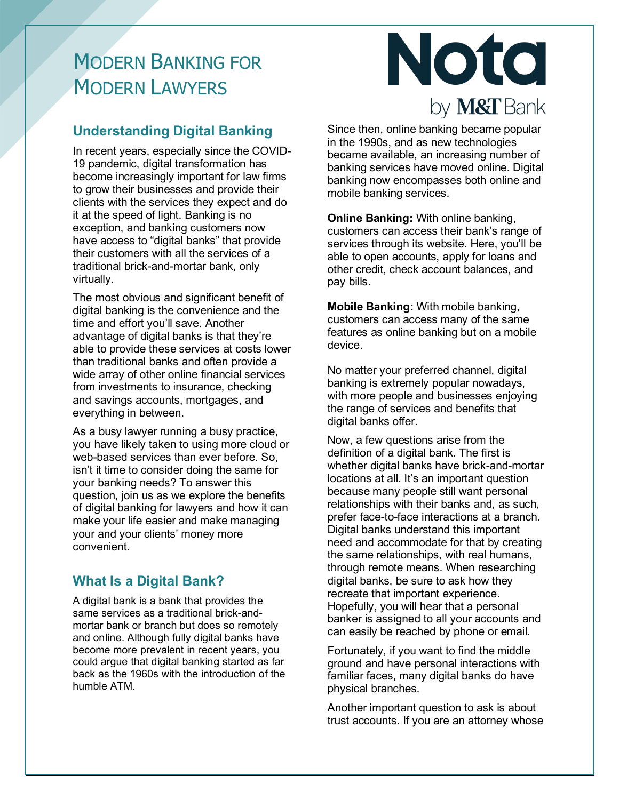# MODERN BANKING FOR MODERN LAWYERS

## **Understanding Digital Banking**

In recent years, especially since the COVID-19 pandemic, digital transformation has become increasingly important for law firms to grow their businesses and provide their clients with the services they expect and do it at the speed of light. Banking is no exception, and banking customers now have access to "digital banks" that provide their customers with all the services of a traditional brick-and-mortar bank, only virtually.

The most obvious and significant benefit of digital banking is the convenience and the time and effort you'll save. Another advantage of digital banks is that they're able to provide these services at costs lower than traditional banks and often provide a wide array of other online financial services from investments to insurance, checking and savings accounts, mortgages, and everything in between.

As a busy lawyer running a busy practice, you have likely taken to using more cloud or web-based services than ever before. So, isn't it time to consider doing the same for your banking needs? To answer this question, join us as we explore the benefits of digital banking for lawyers and how it can make your life easier and make managing your and your clients' money more convenient.

## **What Is a Digital Bank?**

A digital bank is a bank that provides the same services as a traditional brick-andmortar bank or branch but does so remotely and online. Although fully digital banks have become more prevalent in recent years, you could argue that digital banking started as far back as the 1960s with the introduction of the humble ATM.



Since then, online banking became popular in the 1990s, and as new technologies became available, an increasing number of banking services have moved online. Digital banking now encompasses both online and mobile banking services.

**Online Banking:** With online banking, customers can access their bank's range of services through its website. Here, you'll be able to open accounts, apply for loans and other credit, check account balances, and pay bills.

**Mobile Banking:** With mobile banking, customers can access many of the same features as online banking but on a mobile device.

No matter your preferred channel, digital banking is extremely popular nowadays, with more people and businesses enjoying the range of services and benefits that digital banks offer.

Now, a few questions arise from the definition of a digital bank. The first is whether digital banks have brick-and-mortar locations at all. It's an important question because many people still want personal relationships with their banks and, as such, prefer face-to-face interactions at a branch. Digital banks understand this important need and accommodate for that by creating the same relationships, with real humans, through remote means. When researching digital banks, be sure to ask how they recreate that important experience. Hopefully, you will hear that a personal banker is assigned to all your accounts and can easily be reached by phone or email.

Fortunately, if you want to find the middle ground and have personal interactions with familiar faces, many digital banks do have physical branches.

Another important question to ask is about trust accounts. If you are an attorney whose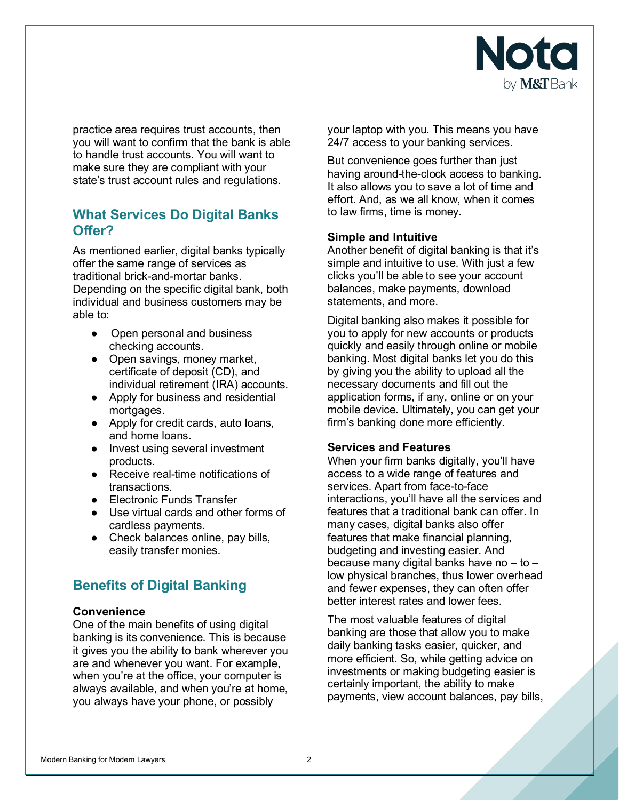

practice area requires trust accounts, then you will want to confirm that the bank is able to handle trust accounts. You will want to make sure they are compliant with your state's trust account rules and regulations.

## **What Services Do Digital Banks Offer?**

As mentioned earlier, digital banks typically offer the same range of services as traditional brick-and-mortar banks. Depending on the specific digital bank, both individual and business customers may be able to:

- Open personal and business checking accounts.
- Open savings, money market, certificate of deposit (CD), and individual retirement (IRA) accounts.
- Apply for business and residential mortgages.
- Apply for credit cards, auto loans, and home loans.
- Invest using several investment products.
- Receive real-time notifications of transactions.
- Electronic Funds Transfer
- Use virtual cards and other forms of cardless payments.
- Check balances online, pay bills, easily transfer monies.

## **Benefits of Digital Banking**

#### **Convenience**

One of the main benefits of using digital banking is its convenience. This is because it gives you the ability to bank wherever you are and whenever you want. For example, when you're at the office, your computer is always available, and when you're at home, you always have your phone, or possibly

your laptop with you. This means you have 24/7 access to your banking services.

But convenience goes further than just having around-the-clock access to banking. It also allows you to save a lot of time and effort. And, as we all know, when it comes to law firms, time is money.

### **Simple and Intuitive**

Another benefit of digital banking is that it's simple and intuitive to use. With just a few clicks you'll be able to see your account balances, make payments, download statements, and more.

Digital banking also makes it possible for you to apply for new accounts or products quickly and easily through online or mobile banking. Most digital banks let you do this by giving you the ability to upload all the necessary documents and fill out the application forms, if any, online or on your mobile device. Ultimately, you can get your firm's banking done more efficiently.

#### **Services and Features**

When your firm banks digitally, you'll have access to a wide range of features and services. Apart from face-to-face interactions, you'll have all the services and features that a traditional bank can offer. In many cases, digital banks also offer features that make financial planning, budgeting and investing easier. And because many digital banks have no – to – low physical branches, thus lower overhead and fewer expenses, they can often offer better interest rates and lower fees.

The most valuable features of digital banking are those that allow you to make daily banking tasks easier, quicker, and more efficient. So, while getting advice on investments or making budgeting easier is certainly important, the ability to make payments, view account balances, pay bills,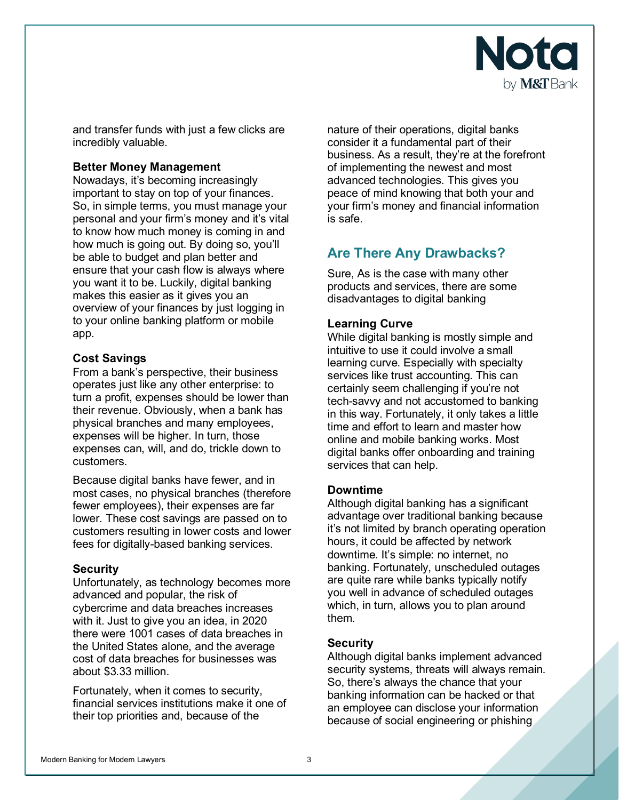

and transfer funds with just a few clicks are incredibly valuable.

#### **Better Money Management**

Nowadays, it's becoming increasingly important to stay on top of your finances. So, in simple terms, you must manage your personal and your firm's money and it's vital to know how much money is coming in and how much is going out. By doing so, you'll be able to budget and plan better and ensure that your cash flow is always where you want it to be. Luckily, digital banking makes this easier as it gives you an overview of your finances by just logging in to your online banking platform or mobile app.

#### **Cost Savings**

From a bank's perspective, their business operates just like any other enterprise: to turn a profit, expenses should be lower than their revenue. Obviously, when a bank has physical branches and many employees, expenses will be higher. In turn, those expenses can, will, and do, trickle down to customers.

Because digital banks have fewer, and in most cases, no physical branches (therefore fewer employees), their expenses are far lower. These cost savings are passed on to customers resulting in lower costs and lower fees for digitally-based banking services.

#### **Security**

Unfortunately, as technology becomes more advanced and popular, the risk of cybercrime and data breaches increases with it. Just to give you an idea, in 2020 there were 1001 cases of data breaches in the United States alone, and the average cost of data breaches for businesses was about \$3.33 million.

Fortunately, when it comes to security, financial services institutions make it one of their top priorities and, because of the

nature of their operations, digital banks consider it a fundamental part of their business. As a result, they're at the forefront of implementing the newest and most advanced technologies. This gives you peace of mind knowing that both your and your firm's money and financial information is safe.

## **Are There Any Drawbacks?**

Sure, As is the case with many other products and services, there are some disadvantages to digital banking

#### **Learning Curve**

While digital banking is mostly simple and intuitive to use it could involve a small learning curve. Especially with specialty services like trust accounting. This can certainly seem challenging if you're not tech-savvy and not accustomed to banking in this way. Fortunately, it only takes a little time and effort to learn and master how online and mobile banking works. Most digital banks offer onboarding and training services that can help.

#### **Downtime**

Although digital banking has a significant advantage over traditional banking because it's not limited by branch operating operation hours, it could be affected by network downtime. It's simple: no internet, no banking. Fortunately, unscheduled outages are quite rare while banks typically notify you well in advance of scheduled outages which, in turn, allows you to plan around them.

#### **Security**

Although digital banks implement advanced security systems, threats will always remain. So, there's always the chance that your banking information can be hacked or that an employee can disclose your information because of social engineering or phishing